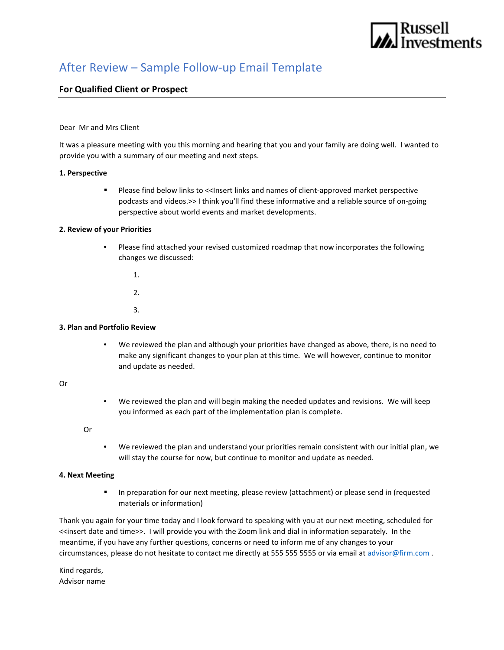

# After Review – Sample Follow-up Email Template

## **For Qualified Client or Prospect**

### Dear Mr and Mrs Client

It was a pleasure meeting with you this morning and hearing that you and your family are doing well. I wanted to provide you with a summary of our meeting and next steps.

### **1. Perspective**

**Please find below links to << Insert links and names of client-approved market perspective** podcasts and videos.>> I think you'll find these informative and a reliable source of on-going perspective about world events and market developments.

### **2. Review of your Priorities**

- Please find attached your revised customized roadmap that now incorporates the following changes we discussed:
	- 1. 2.
	- 3.

### **3. Plan and Portfolio Review**

• We reviewed the plan and although your priorities have changed as above, there, is no need to make any significant changes to your plan at this time. We will however, continue to monitor and update as needed.

### Or

• We reviewed the plan and will begin making the needed updates and revisions. We will keep you informed as each part of the implementation plan is complete.

Or

• We reviewed the plan and understand your priorities remain consistent with our initial plan, we will stay the course for now, but continue to monitor and update as needed.

### **4. Next Meeting**

**In preparation for our next meeting, please review (attachment) or please send in (requested** materials or information)

Thank you again for your time today and I look forward to speaking with you at our next meeting, scheduled for <<insert date and time>>. I will provide you with the Zoom link and dial in information separately. In the meantime, if you have any further questions, concerns or need to inform me of any changes to your circumstances, please do not hesitate to contact me directly at 555 555 5555 or via email at advisor@firm.com.

Kind regards, Advisor name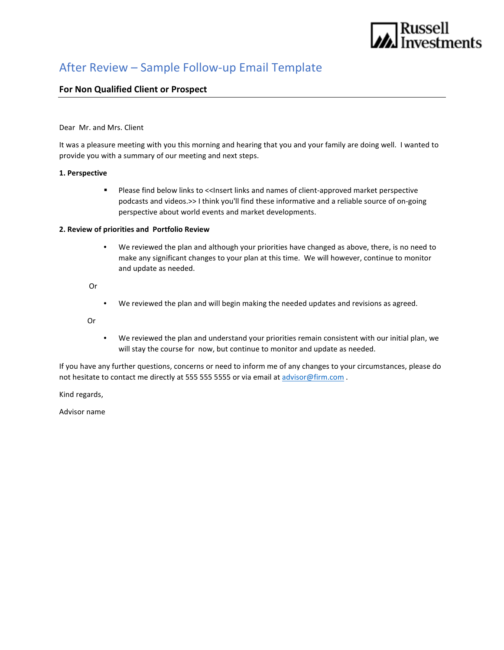

# After Review – Sample Follow-up Email Template

## **For Non Qualified Client or Prospect**

### Dear Mr. and Mrs. Client

It was a pleasure meeting with you this morning and hearing that you and your family are doing well. I wanted to provide you with a summary of our meeting and next steps.

### **1. Perspective**

**Please find below links to << Insert links and names of client-approved market perspective** podcasts and videos.>> I think you'll find these informative and a reliable source of on-going perspective about world events and market developments.

#### **2. Review of priorities and Portfolio Review**

• We reviewed the plan and although your priorities have changed as above, there, is no need to make any significant changes to your plan at this time. We will however, continue to monitor and update as needed.

Or

• We reviewed the plan and will begin making the needed updates and revisions as agreed.

Or

• We reviewed the plan and understand your priorities remain consistent with our initial plan, we will stay the course for now, but continue to monitor and update as needed.

If you have any further questions, concerns or need to inform me of any changes to your circumstances, please do not hesitate to contact me directly at 555 555 5555 or via email a[t advisor@firm.com](mailto:advisor@firm.com) .

Kind regards,

Advisor name